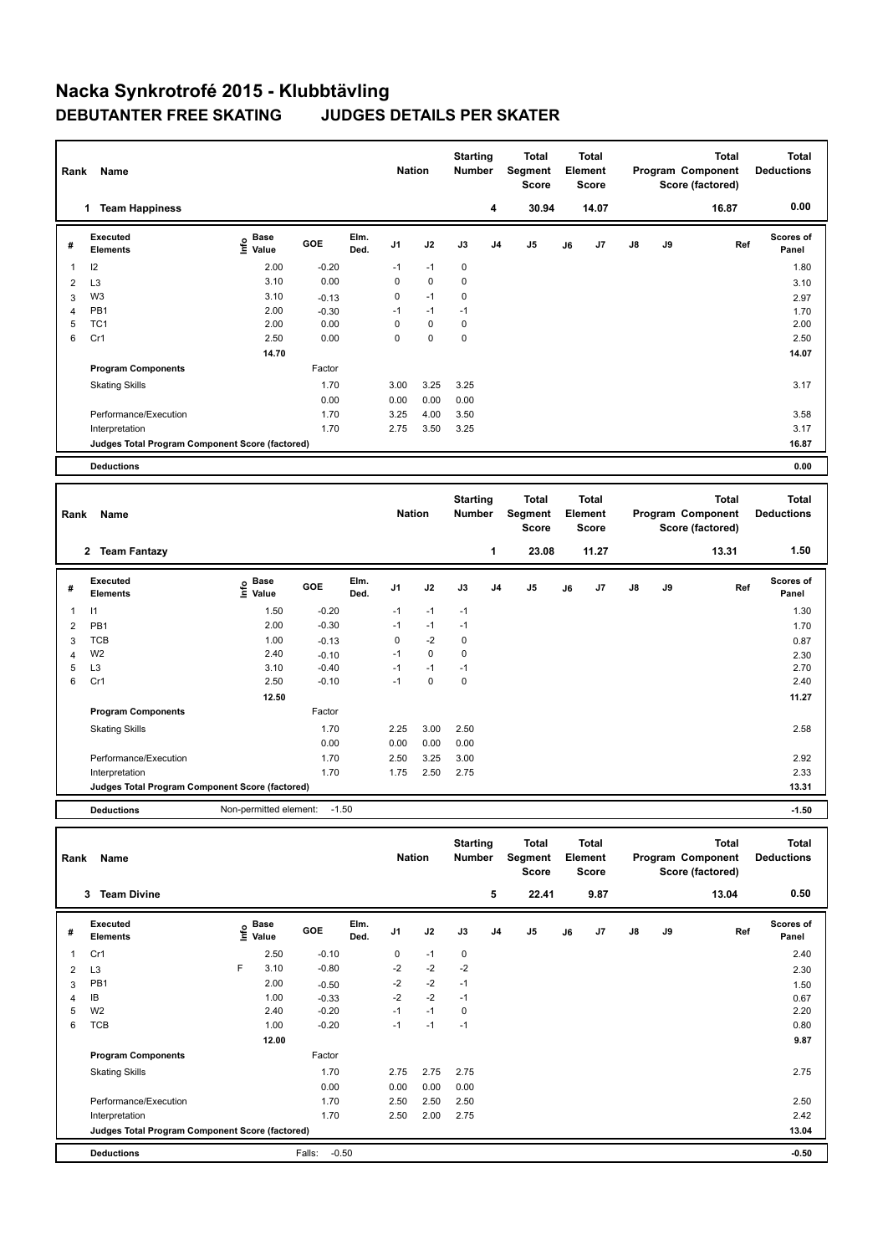## **Nacka Synkrotrofé 2015 - Klubbtävling DEBUTANTER FREE SKATING JUDGES DETAILS PER SKATER**

| Rank           | Name                                            |                                  |            |              | <b>Nation</b>  |             | <b>Starting</b><br><b>Number</b> |                | <b>Total</b><br>Segment<br><b>Score</b> | <b>Total</b><br>Element<br><b>Score</b> |                                         | Program Component |    | <b>Total</b><br>Score (factored)                      | <b>Total</b><br><b>Deductions</b> |
|----------------|-------------------------------------------------|----------------------------------|------------|--------------|----------------|-------------|----------------------------------|----------------|-----------------------------------------|-----------------------------------------|-----------------------------------------|-------------------|----|-------------------------------------------------------|-----------------------------------|
|                | <b>Team Happiness</b><br>1                      |                                  |            |              |                |             |                                  | 4              | 30.94                                   |                                         | 14.07                                   |                   |    | 16.87                                                 | 0.00                              |
| #              | Executed<br><b>Elements</b>                     | <b>Base</b><br>e Base<br>⊆ Value | <b>GOE</b> | Elm.<br>Ded. | J <sub>1</sub> | J2          | J3                               | J <sub>4</sub> | J <sub>5</sub>                          | J6                                      | J7                                      | $\mathsf{J}8$     | J9 | Ref                                                   | <b>Scores of</b><br>Panel         |
| 1              | 12                                              | 2.00                             | $-0.20$    |              | $-1$           | $-1$        | 0                                |                |                                         |                                         |                                         |                   |    |                                                       | 1.80                              |
| 2              | L <sub>3</sub>                                  | 3.10                             | 0.00       |              | 0              | $\mathbf 0$ | $\pmb{0}$                        |                |                                         |                                         |                                         |                   |    |                                                       | 3.10                              |
| 3              | W <sub>3</sub>                                  | 3.10                             | $-0.13$    |              | 0              | $-1$        | 0                                |                |                                         |                                         |                                         |                   |    |                                                       | 2.97                              |
| $\overline{4}$ | PB <sub>1</sub>                                 | 2.00                             | $-0.30$    |              | $-1$           | $-1$        | $-1$                             |                |                                         |                                         |                                         |                   |    |                                                       | 1.70                              |
| 5              | TC <sub>1</sub>                                 | 2.00                             | 0.00       |              | $\Omega$       | $\mathbf 0$ | $\mathbf 0$                      |                |                                         |                                         |                                         |                   |    |                                                       | 2.00                              |
| 6              | Cr1                                             | 2.50                             | 0.00       |              | 0              | $\mathbf 0$ | $\mathbf 0$                      |                |                                         |                                         |                                         |                   |    |                                                       | 2.50                              |
|                |                                                 | 14.70                            |            |              |                |             |                                  |                |                                         |                                         |                                         |                   |    |                                                       | 14.07                             |
|                | <b>Program Components</b>                       |                                  | Factor     |              |                |             |                                  |                |                                         |                                         |                                         |                   |    |                                                       |                                   |
|                | <b>Skating Skills</b>                           |                                  | 1.70       |              | 3.00           | 3.25        | 3.25                             |                |                                         |                                         |                                         |                   |    |                                                       | 3.17                              |
|                |                                                 |                                  | 0.00       |              | 0.00           | 0.00        | 0.00                             |                |                                         |                                         |                                         |                   |    |                                                       |                                   |
|                | Performance/Execution                           |                                  | 1.70       |              | 3.25           | 4.00        | 3.50                             |                |                                         |                                         |                                         |                   |    |                                                       | 3.58                              |
|                | Interpretation                                  |                                  | 1.70       |              | 2.75           | 3.50        | 3.25                             |                |                                         |                                         |                                         |                   |    |                                                       | 3.17                              |
|                | Judges Total Program Component Score (factored) |                                  |            |              |                |             |                                  |                |                                         |                                         |                                         |                   |    |                                                       | 16.87                             |
|                | <b>Deductions</b>                               |                                  |            |              |                |             |                                  |                |                                         |                                         |                                         |                   |    |                                                       | 0.00                              |
|                |                                                 |                                  |            |              |                |             |                                  |                |                                         |                                         |                                         |                   |    |                                                       |                                   |
| Rank           | Name                                            |                                  |            |              | <b>Nation</b>  |             | <b>Starting</b><br><b>Number</b> |                | <b>Total</b><br>Segment<br><b>Score</b> |                                         | <b>Total</b><br>Element<br><b>Score</b> |                   |    | <b>Total</b><br>Program Component<br>Score (factored) | <b>Total</b><br><b>Deductions</b> |

|                | $\mathbf{2}$<br><b>Team Fantazy</b>             |                                  |            |              |                |      |      | 1              | 23.08 |    | 11.27 |               |    | 13.31 | 1.50               |
|----------------|-------------------------------------------------|----------------------------------|------------|--------------|----------------|------|------|----------------|-------|----|-------|---------------|----|-------|--------------------|
| #              | <b>Executed</b><br><b>Elements</b>              | <b>Base</b><br>e Base<br>⊆ Value | <b>GOE</b> | Elm.<br>Ded. | J <sub>1</sub> | J2   | J3   | J <sub>4</sub> | J5    | J6 | J7    | $\mathsf{J}8$ | J9 | Ref   | Scores of<br>Panel |
| 1              | $\vert$ 1                                       | 1.50                             | $-0.20$    |              | $-1$           | $-1$ | $-1$ |                |       |    |       |               |    |       | 1.30               |
| $\overline{2}$ | PB <sub>1</sub>                                 | 2.00                             | $-0.30$    |              | $-1$           | $-1$ | $-1$ |                |       |    |       |               |    |       | 1.70               |
| 3              | TCB                                             | 1.00                             | $-0.13$    |              | 0              | $-2$ | 0    |                |       |    |       |               |    |       | 0.87               |
| 4              | W <sub>2</sub>                                  | 2.40                             | $-0.10$    |              | $-1$           | 0    | 0    |                |       |    |       |               |    |       | 2.30               |
| 5              | L <sub>3</sub>                                  | 3.10                             | $-0.40$    |              | $-1$           | $-1$ | $-1$ |                |       |    |       |               |    |       | 2.70               |
| 6              | Cr1                                             | 2.50                             | $-0.10$    |              | $-1$           | 0    | 0    |                |       |    |       |               |    |       | 2.40               |
|                |                                                 | 12.50                            |            |              |                |      |      |                |       |    |       |               |    |       | 11.27              |
|                | <b>Program Components</b>                       |                                  | Factor     |              |                |      |      |                |       |    |       |               |    |       |                    |
|                | <b>Skating Skills</b>                           |                                  | 1.70       |              | 2.25           | 3.00 | 2.50 |                |       |    |       |               |    |       | 2.58               |
|                |                                                 |                                  | 0.00       |              | 0.00           | 0.00 | 0.00 |                |       |    |       |               |    |       |                    |
|                | Performance/Execution                           |                                  | 1.70       |              | 2.50           | 3.25 | 3.00 |                |       |    |       |               |    |       | 2.92               |
|                | Interpretation                                  |                                  | 1.70       |              | 1.75           | 2.50 | 2.75 |                |       |    |       |               |    |       | 2.33               |
|                | Judges Total Program Component Score (factored) |                                  |            |              |                |      |      |                |       |    |       |               |    |       | 13.31              |
|                | <b>Deductions</b>                               | Non-permitted element:           | $-1.50$    |              |                |      |      |                |       |    |       |               |    |       | $-1.50$            |

|                | Name<br>Rank                                    |   |                                  |                   |              |                | <b>Nation</b> |           | <b>Starting</b><br><b>Number</b> | <b>Total</b><br>Segment<br><b>Score</b> |    | <b>Total</b><br>Element<br><b>Score</b> |               | Total<br>Program Component<br>Score (factored) |       | <b>Total</b><br><b>Deductions</b> |
|----------------|-------------------------------------------------|---|----------------------------------|-------------------|--------------|----------------|---------------|-----------|----------------------------------|-----------------------------------------|----|-----------------------------------------|---------------|------------------------------------------------|-------|-----------------------------------|
|                | <b>Team Divine</b><br>3                         |   |                                  |                   |              |                |               |           | 5                                | 22.41                                   |    | 9.87                                    |               |                                                | 13.04 | 0.50                              |
| #              | Executed<br><b>Elements</b>                     |   | <b>Base</b><br>o Base<br>⊆ Value | GOE               | Elm.<br>Ded. | J <sub>1</sub> | J2            | J3        | J <sub>4</sub>                   | J <sub>5</sub>                          | J6 | J7                                      | $\mathsf{J}8$ | J9                                             | Ref   | <b>Scores of</b><br>Panel         |
| 1              | Cr1                                             |   | 2.50                             | $-0.10$           |              | 0              | $-1$          | $\pmb{0}$ |                                  |                                         |    |                                         |               |                                                |       | 2.40                              |
| $\overline{2}$ | L <sub>3</sub>                                  | F | 3.10                             | $-0.80$           |              | $-2$           | $-2$          | $-2$      |                                  |                                         |    |                                         |               |                                                |       | 2.30                              |
| 3              | PB1                                             |   | 2.00                             | $-0.50$           |              | $-2$           | $-2$          | $-1$      |                                  |                                         |    |                                         |               |                                                |       | 1.50                              |
| $\overline{4}$ | IB                                              |   | 1.00                             | $-0.33$           |              | $-2$           | $-2$          | $-1$      |                                  |                                         |    |                                         |               |                                                |       | 0.67                              |
| 5              | W <sub>2</sub>                                  |   | 2.40                             | $-0.20$           |              | $-1$           | $-1$          | 0         |                                  |                                         |    |                                         |               |                                                |       | 2.20                              |
| 6              | <b>TCB</b>                                      |   | 1.00                             | $-0.20$           |              | $-1$           | $-1$          | $-1$      |                                  |                                         |    |                                         |               |                                                |       | 0.80                              |
|                |                                                 |   | 12.00                            |                   |              |                |               |           |                                  |                                         |    |                                         |               |                                                |       | 9.87                              |
|                | <b>Program Components</b>                       |   |                                  | Factor            |              |                |               |           |                                  |                                         |    |                                         |               |                                                |       |                                   |
|                | <b>Skating Skills</b>                           |   |                                  | 1.70              |              | 2.75           | 2.75          | 2.75      |                                  |                                         |    |                                         |               |                                                |       | 2.75                              |
|                |                                                 |   |                                  | 0.00              |              | 0.00           | 0.00          | 0.00      |                                  |                                         |    |                                         |               |                                                |       |                                   |
|                | Performance/Execution                           |   |                                  | 1.70              |              | 2.50           | 2.50          | 2.50      |                                  |                                         |    |                                         |               |                                                |       | 2.50                              |
|                | Interpretation                                  |   |                                  | 1.70              |              | 2.50           | 2.00          | 2.75      |                                  |                                         |    |                                         |               |                                                |       | 2.42                              |
|                | Judges Total Program Component Score (factored) |   |                                  |                   |              |                |               |           |                                  |                                         |    |                                         |               |                                                |       | 13.04                             |
|                | <b>Deductions</b>                               |   |                                  | $-0.50$<br>Falls: |              |                |               |           |                                  |                                         |    |                                         |               |                                                |       | $-0.50$                           |